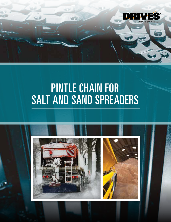

## PINTLE CHAIN FOR SALT AND SAND SPREADERS